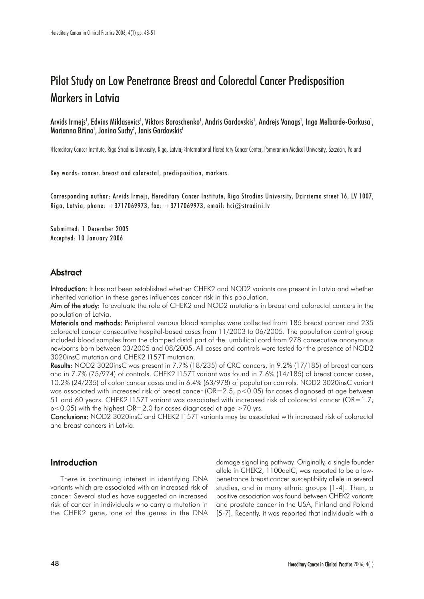# Pilot Study on Low Penetrance Breast and Colorectal Cancer Predisposition Markers in Latvia

Arvids Irmejs<sup>1</sup>, Edvins Miklasevics<sup>1</sup>, Viktors Boroschenko<sup>1</sup>, Andris Gardovskis<sup>1</sup>, Andrejs Vanags<sup>1</sup>, Inga Melbarde-Gorkusa<sup>1</sup>, Marianna Bitina', Janina Suchy<sup>2</sup>, Janis Gardovskis'

1Hereditary Cancer Institute, Riga Stradins University, Riga, Latvia; 2International Hereditary Cancer Center, Pomeranian Medical University, Szczecin, Poland

Key words: cancer, breast and colorectal, predisposition, markers.

Corresponding author: Arvids Irmejs, Hereditary Cancer Institute, Riga Stradins University, Dzirciema street 16, LV 1007, Riga, Latvia, phone:  $+3717069973$ , fax:  $+3717069973$ , email: hci $@$ stradini.lv

Submitted: 1 December 2005 Accepted: 10 January 2006

## **Abstract**

Introduction: It has not been established whether CHEK2 and NOD2 variants are present in Latvia and whether inherited variation in these genes influences cancer risk in this population.

Aim of the study: To evaluate the role of CHEK2 and NOD2 mutations in breast and colorectal cancers in the population of Latvia.

Materials and methods: Peripheral venous blood samples were collected from 185 breast cancer and 235 colorectal cancer consecutive hospital-based cases from 11/2003 to 06/2005. The population control group included blood samples from the clamped distal part of the umbilical cord from 978 consecutive anonymous newborns born between 03/2005 and 08/2005. All cases and controls were tested for the presence of NOD2 3020insC mutation and CHEK2 I157T mutation.

Results: NOD2 3020insC was present in 7.7% (18/235) of CRC cancers, in 9.2% (17/185) of breast cancers and in 7.7% (75/974) of controls. CHEK2 I157T variant was found in 7.6% (14/185) of breast cancer cases, 10.2% (24/235) of colon cancer cases and in 6.4% (63/978) of population controls. NOD2 3020insC variant was associated with increased risk of breast cancer (OR=2.5, p<0.05) for cases diagnosed at age between 51 and 60 years. CHEK2 I157T variant was associated with increased risk of colorectal cancer (OR=1.7,  $p$ <0.05) with the highest OR=2.0 for cases diagnosed at age >70 yrs.

Conclusions: NOD2 3020insC and CHEK2 I157T variants may be associated with increased risk of colorectal and breast cancers in Latvia.

## Introduction

There is continuing interest in identifying DNA variants which are associated with an increased risk of cancer. Several studies have suggested an increased risk of cancer in individuals who carry a mutation in the CHEK2 gene, one of the genes in the DNA

damage signalling pathway. Originally, a single founder allele in CHEK2, 1100delC, was reported to be a lowpenetrance breast cancer susceptibility allele in several studies, and in many ethnic groups [1-4]. Then, a positive association was found between CHEK2 variants and prostate cancer in the USA, Finland and Poland [5-7]. Recently, it was reported that individuals with a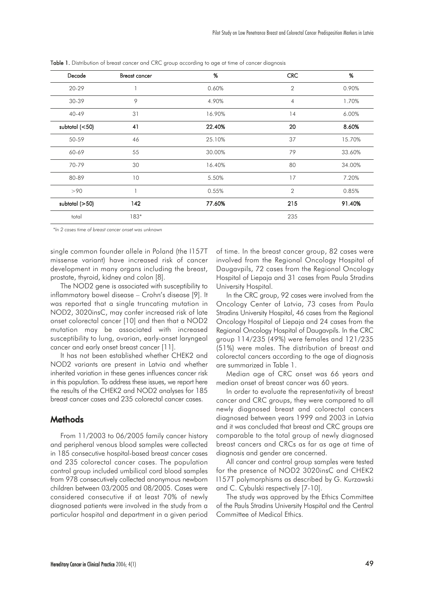| Decade           | <b>Breast cancer</b> | %      | <b>CRC</b>     | %      |
|------------------|----------------------|--------|----------------|--------|
| 20-29            |                      | 0.60%  | $\overline{2}$ | 0.90%  |
| 30-39            | 9                    | 4.90%  | $\overline{4}$ | 1.70%  |
| 40-49            | 31                   | 16.90% | 14             | 6.00%  |
| subtotal $(<50)$ | 41                   | 22.40% | 20             | 8.60%  |
| 50-59            | 46                   | 25.10% | 37             | 15.70% |
| 60-69            | 55                   | 30.00% | 79             | 33.60% |
| 70-79            | 30                   | 16.40% | 80             | 34.00% |
| 80-89            | 10                   | 5.50%  | 17             | 7.20%  |
| >90              |                      | 0.55%  | $\overline{2}$ | 0.85%  |
| subtotal $(>50)$ | 142                  | 77.60% | 215            | 91.40% |
| total            | 183*                 |        | 235            |        |

Table 1. Distribution of breast cancer and CRC group according to age at time of cancer diagnosis

*\*In 2 cases time of breast cancer onset was unknown*

single common founder allele in Poland (the I157T missense variant) have increased risk of cancer development in many organs including the breast, prostate, thyroid, kidney and colon [8].

The NOD2 gene is associated with susceptibility to inflammatory bowel disease – Crohn's disease [9]. It was reported that a single truncating mutation in NOD2, 3020insC, may confer increased risk of late onset colorectal cancer [10] and then that a NOD2 mutation may be associated with increased susceptibility to lung, ovarian, early-onset laryngeal cancer and early onset breast cancer [11].

It has not been established whether CHEK2 and NOD2 variants are present in Latvia and whether inherited variation in these genes influences cancer risk in this population. To address these issues, we report here the results of the CHEK2 and NOD2 analyses for 185 breast cancer cases and 235 colorectal cancer cases.

## **Methods**

From 11/2003 to 06/2005 family cancer history and peripheral venous blood samples were collected in 185 consecutive hospital-based breast cancer cases and 235 colorectal cancer cases. The population control group included umbilical cord blood samples from 978 consecutively collected anonymous newborn children between 03/2005 and 08/2005. Cases were considered consecutive if at least 70% of newly diagnosed patients were involved in the study from a particular hospital and department in a given period

of time. In the breast cancer group, 82 cases were involved from the Regional Oncology Hospital of Daugavpils, 72 cases from the Regional Oncology Hospital of Liepaja and 31 cases from Paula Stradins University Hospital.

In the CRC group, 92 cases were involved from the Oncology Center of Latvia, 73 cases from Paula Stradins University Hospital, 46 cases from the Regional Oncology Hospital of Liepaja and 24 cases from the Regional Oncology Hospital of Daugavpils. In the CRC group 114/235 (49%) were females and 121/235 (51%) were males. The distribution of breast and colorectal cancers according to the age of diagnosis are summarized in Table 1.

Median age of CRC onset was 66 years and median onset of breast cancer was 60 years.

In order to evaluate the representativity of breast cancer and CRC groups, they were compared to all newly diagnosed breast and colorectal cancers diagnosed between years 1999 and 2003 in Latvia and it was concluded that breast and CRC groups are comparable to the total group of newly diagnosed breast cancers and CRCs as far as age at time of diagnosis and gender are concerned.

All cancer and control group samples were tested for the presence of NOD2 3020insC and CHEK2 I157T polymorphisms as described by G. Kurzawski and C. Cybulski respectively [7-10].

The study was approved by the Ethics Committee of the Pauls Stradins University Hospital and the Central Committee of Medical Ethics.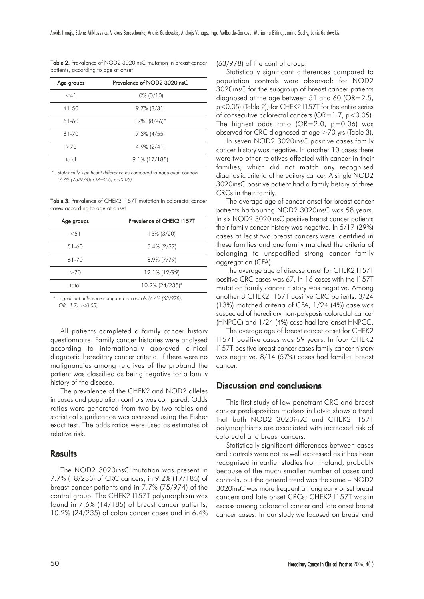| Age groups           | Prevalence of NOD2 3020insC |
|----------------------|-----------------------------|
| $<$ 4 $\overline{1}$ | $0\% (0/10)$                |
| $41 - 50$            | $9.7\%$ (3/31)              |
| 51-60                | $17\%$ $(8/46)*$            |
| 61-70                | $7.3\%$ (4/55)              |
| >70                  | $4.9\%$ (2/41)              |
| total                | $9.1\%$ (17/185)            |

Table 2. Prevalence of NOD2 3020insC mutation in breast cancer patients, according to age at onset

*\* - statistically significant difference as compared to population controls (7.7% (75/974); OR=2.5, p<0.05)*

Table 3. Prevalence of CHEK2 I157T mutation in colorectal cancer cases according to age at onset

| Age groups | Prevalence of CHEK2 1157T |
|------------|---------------------------|
| < 51       | 15% (3/20)                |
| 51-60      | $5.4\%$ (2/37)            |
| $61 - 70$  | $8.9\%$ (7/79)            |
| >70        | 12.1% (12/99)             |
| total      | 10.2% (24/235)*           |
|            |                           |

*\* - significant difference compared to controls (6.4% (63/978); OR=1.7, p<0.05)*

All patients completed a family cancer history questionnaire. Family cancer histories were analysed according to internationally approved clinical diagnostic hereditary cancer criteria. If there were no malignancies among relatives of the proband the patient was classified as being negative for a family history of the disease.

The prevalence of the CHEK2 and NOD2 alleles in cases and population controls was compared. Odds ratios were generated from two-by-two tables and statistical significance was assessed using the Fisher exact test. The odds ratios were used as estimates of relative risk.

## **Results**

The NOD2 3020insC mutation was present in 7.7% (18/235) of CRC cancers, in 9.2% (17/185) of breast cancer patients and in 7.7% (75/974) of the control group. The CHEK2 I157T polymorphism was found in 7.6% (14/185) of breast cancer patients, 10.2% (24/235) of colon cancer cases and in 6.4% (63/978) of the control group.

Statistically significant differences compared to population controls were observed: for NOD2 3020insC for the subgroup of breast cancer patients diagnosed at the age between 51 and 60 ( $OR=2.5$ , p<0.05) (Table 2); for CHEK2 I157T for the entire series of consecutive colorectal cancers ( $OR=1.7$ ,  $p < 0.05$ ). The highest odds ratio ( $OR=2.0$ ,  $p=0.06$ ) was observed for CRC diagnosed at age >70 yrs (Table 3).

In seven NOD2 3020insC positive cases family cancer history was negative. In another 10 cases there were two other relatives affected with cancer in their families, which did not match any recognised diagnostic criteria of hereditary cancer. A single NOD2 3020insC positive patient had a family history of three CRCs in their family.

The average age of cancer onset for breast cancer patients harbouring NOD2 3020insC was 58 years. In six NOD2 3020insC positive breast cancer patients their family cancer history was negative. In 5/17 (29%) cases at least two breast cancers were identified in these families and one family matched the criteria of belonging to unspecified strong cancer family aggregation (CFA).

The average age of disease onset for CHEK2 I157T positive CRC cases was 67. In 16 cases with the I157T mutation family cancer history was negative. Among another 8 CHEK2 I157T positive CRC patients, 3/24 (13%) matched criteria of CFA, 1/24 (4%) case was suspected of hereditary non-polyposis colorectal cancer (HNPCC) and 1/24 (4%) case had late-onset HNPCC.

The average age of breast cancer onset for CHEK2 I157T positive cases was 59 years. In four CHEK2 I157T positive breast cancer cases family cancer history was negative. 8/14 (57%) cases had familial breast cancer.

## Discussion and conclusions

This first study of low penetrant CRC and breast cancer predisposition markers in Latvia shows a trend that both NOD2 3020insC and CHEK2 I157T polymorphisms are associated with increased risk of colorectal and breast cancers.

Statistically significant differences between cases and controls were not as well expressed as it has been recognised in earlier studies from Poland, probably because of the much smaller number of cases and controls, but the general trend was the same – NOD2 3020insC was more frequent among early onset breast cancers and late onset CRCs; CHEK2 I157T was in excess among colorectal cancer and late onset breast cancer cases. In our study we focused on breast and